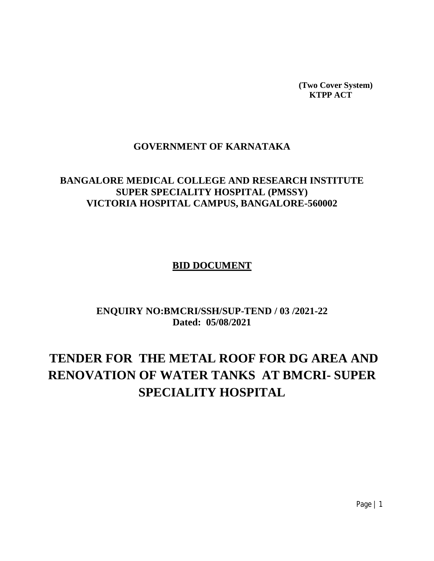**(Two Cover System) KTPP ACT**

## **GOVERNMENT OF KARNATAKA**

## **BANGALORE MEDICAL COLLEGE AND RESEARCH INSTITUTE SUPER SPECIALITY HOSPITAL (PMSSY) VICTORIA HOSPITAL CAMPUS, BANGALORE-560002**

#### **BID DOCUMENT**

## **ENQUIRY NO:BMCRI/SSH/SUP-TEND / 03 /2021-22 Dated: 05/08/2021**

# **TENDER FOR THE METAL ROOF FOR DG AREA AND RENOVATION OF WATER TANKS AT BMCRI- SUPER SPECIALITY HOSPITAL**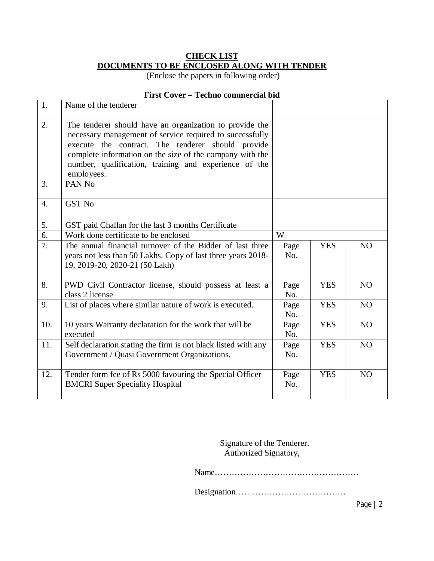### **CHECK LIST DOCUMENTS TO BE ENCLOSED ALONG WITH TENDER**

(Enclose the papers in following order)

#### **First Cover – Techno commercial bid**

| 1.               | Name of the tenderer                                                                                                                                                                                                                                                                                        |             |            |                |
|------------------|-------------------------------------------------------------------------------------------------------------------------------------------------------------------------------------------------------------------------------------------------------------------------------------------------------------|-------------|------------|----------------|
| 2.               | The tenderer should have an organization to provide the<br>necessary management of service required to successfully<br>execute the contract. The tenderer should provide<br>complete information on the size of the company with the<br>number, qualification, training and experience of the<br>employees. |             |            |                |
| 3.               | PAN <sub>No</sub>                                                                                                                                                                                                                                                                                           |             |            |                |
| $\overline{4}$ . | <b>GST No</b>                                                                                                                                                                                                                                                                                               |             |            |                |
| 5.               | GST paid Challan for the last 3 months Certificate                                                                                                                                                                                                                                                          |             |            |                |
| 6.               | Work done certificate to be enclosed                                                                                                                                                                                                                                                                        | W           |            |                |
| $\overline{7}$ . | The annual financial turnover of the Bidder of last three<br>years not less than 50 Lakhs. Copy of last three years 2018-<br>19, 2019-20, 2020-21 (50 Lakh)                                                                                                                                                 | Page<br>No. | <b>YES</b> | N <sub>O</sub> |
| 8.               | PWD Civil Contractor license, should possess at least a<br>class 2 license                                                                                                                                                                                                                                  | Page<br>No. | <b>YES</b> | N <sub>O</sub> |
| 9.               | List of places where similar nature of work is executed.                                                                                                                                                                                                                                                    | Page<br>No. | <b>YES</b> | NO             |
| 10.              | 10 years Warranty declaration for the work that will be<br>executed                                                                                                                                                                                                                                         | Page<br>No. | <b>YES</b> | N <sub>O</sub> |
| 11.              | Self declaration stating the firm is not black listed with any<br>Government / Quasi Government Organizations.                                                                                                                                                                                              | Page<br>No. | <b>YES</b> | N <sub>O</sub> |
| 12.              | Tender form fee of Rs 5000 favouring the Special Officer<br><b>BMCRI</b> Super Speciality Hospital                                                                                                                                                                                                          | Page<br>No. | <b>YES</b> | NO             |

Signature of the Tenderer. Authorized Signatory,

Name……………………………………………

Designation…………………………………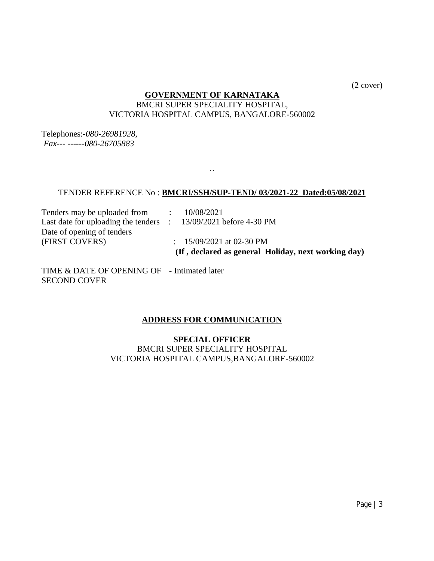(2 cover)

#### **GOVERNMENT OF KARNATAKA**  BMCRI SUPER SPECIALITY HOSPITAL, VICTORIA HOSPITAL CAMPUS, BANGALORE-560002

Telephones:-*080-26981928, Fax--- ------080-26705883*

#### TENDER REFERENCE No : **BMCRI/SSH/SUP-TEND/ 03/2021-22 Dated:05/08/2021**

**``**

Tenders may be uploaded from : 10/08/2021 Last date for uploading the tenders : 13/09/2021 before 4-30 PM Date of opening of tenders<br>(FIRST COVERS)

 $\therefore$  15/09/2021 at 02-30 PM  **(If , declared as general Holiday, next working day)** 

TIME & DATE OF OPENING OF - Intimated later SECOND COVER

#### **ADDRESS FOR COMMUNICATION**

**SPECIAL OFFICER** BMCRI SUPER SPECIALITY HOSPITAL VICTORIA HOSPITAL CAMPUS,BANGALORE-560002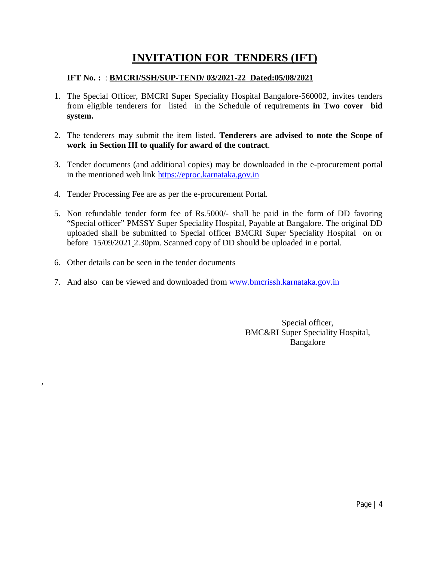## **INVITATION FOR TENDERS (IFT)**

#### **IFT No. :** : **BMCRI/SSH/SUP-TEND/ 03/2021-22 Dated:05/08/2021**

- 1. The Special Officer, BMCRI Super Speciality Hospital Bangalore**-**560002*,* invites tenders from eligible tenderers for listed in the Schedule of requirements **in Two cover bid system.**
- 2. The tenderers may submit the item listed. **Tenderers are advised to note the Scope of work in Section III to qualify for award of the contract**.
- 3. Tender documents (and additional copies) may be downloaded in the e-procurement portal in the mentioned web link <https://eproc.karnataka.gov.in>
- 4. Tender Processing Fee are as per the e-procurement Portal.
- 5. Non refundable tender form fee of Rs.5000/- shall be paid in the form of DD favoring "Special officer" PMSSY Super Speciality Hospital, Payable at Bangalore. The original DD uploaded shall be submitted to Special officer BMCRI Super Speciality Hospital on or before 15/09/2021 2.30pm. Scanned copy of DD should be uploaded in e portal.
- 6. Other details can be seen in the tender documents

,

7. And also can be viewed and downloaded from [www.bmcrissh.karnataka.gov.in](http://www.bmcrissh.karnataka.gov.in)

Special officer, BMC&RI Super Speciality Hospital, Bangalore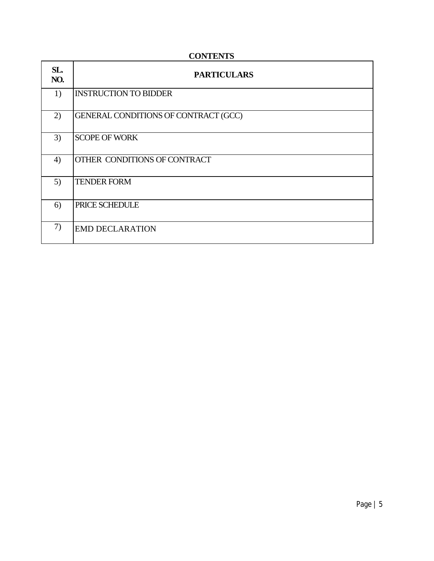| SL.<br>NO. | <b>PARTICULARS</b>                   |
|------------|--------------------------------------|
| 1)         | <b>INSTRUCTION TO BIDDER</b>         |
| 2)         | GENERAL CONDITIONS OF CONTRACT (GCC) |
| 3)         | <b>SCOPE OF WORK</b>                 |
| 4)         | OTHER CONDITIONS OF CONTRACT         |
| 5)         | <b>TENDER FORM</b>                   |
| 6)         | PRICE SCHEDULE                       |
| 7)         | <b>EMD DECLARATION</b>               |

### **CONTENTS**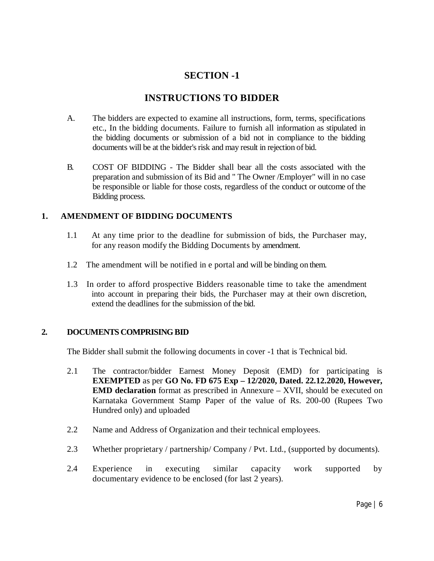## **SECTION -1**

## **INSTRUCTIONS TO BIDDER**

- A. The bidders are expected to examine all instructions, form, terms, specifications etc., In the bidding documents. Failure to furnish all information as stipulated in the bidding documents or submission of a bid not in compliance to the bidding documents will be at the bidder's risk and may result in rejection of bid.
- B. COST OF BIDDING The Bidder shall bear all the costs associated with the preparation and submission of its Bid and " The Owner /Employer" will in no case be responsible or liable for those costs, regardless of the conduct or outcome of the Bidding process.

#### **1. AMENDMENT OF BIDDING DOCUMENTS**

- 1.1 At any time prior to the deadline for submission of bids, the Purchaser may, for any reason modify the Bidding Documents by amendment.
- 1.2 The amendment will be notified in e portal and will be binding on them.
- 1.3 In order to afford prospective Bidders reasonable time to take the amendment into account in preparing their bids, the Purchaser may at their own discretion, extend the deadlines for the submission of the bid.

#### **2. DOCUMENTS COMPRISING BID**

The Bidder shall submit the following documents in cover -1 that is Technical bid.

- 2.1 The contractor/bidder Earnest Money Deposit (EMD) for participating is **EXEMPTED** as per **GO No. FD 675 Exp – 12/2020, Dated. 22.12.2020, However, EMD declaration** format as prescribed in Annexure – XVII, should be executed on Karnataka Government Stamp Paper of the value of Rs. 200-00 (Rupees Two Hundred only) and uploaded
- 2.2 Name and Address of Organization and their technical employees.
- 2.3 Whether proprietary / partnership/ Company / Pvt. Ltd., (supported by documents).
- 2.4 Experience in executing similar capacity work supported by documentary evidence to be enclosed (for last 2 years).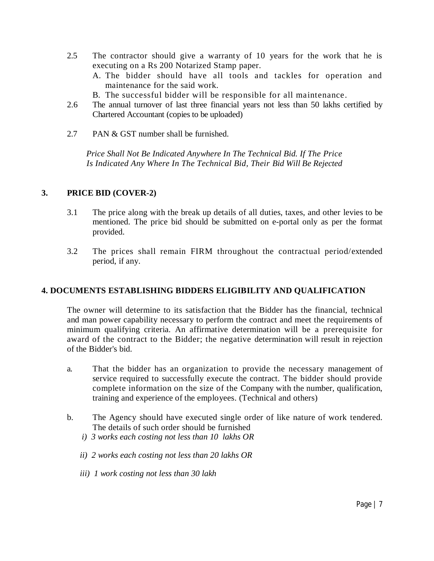- 2.5 The contractor should give a warranty of 10 years for the work that he is executing on a Rs 200 Notarized Stamp paper.
	- A. The bidder should have all tools and tackles for operation and maintenance for the said work.
	- B. The successful bidder will be responsible for all maintenance.
- 2.6 The annual turnover of last three financial years not less than 50 lakhs certified by Chartered Accountant (copies to be uploaded)
- 2.7 PAN & GST number shall be furnished.

 *Price Shall Not Be Indicated Anywhere In The Technical Bid. If The Price Is Indicated Any Where In The Technical Bid, Their Bid Will Be Rejected*

#### **3. PRICE BID (COVER-2)**

- 3.1 The price along with the break up details of all duties, taxes, and other levies to be mentioned. The price bid should be submitted on e-portal only as per the format provided.
- 3.2 The prices shall remain FIRM throughout the contractual period/extended period, if any.

#### **4. DOCUMENTS ESTABLISHING BIDDERS ELIGIBILITY AND QUALIFICATION**

The owner will determine to its satisfaction that the Bidder has the financial, technical and man power capability necessary to perform the contract and meet the requirements of minimum qualifying criteria. An affirmative determination will be a prerequisite for award of the contract to the Bidder; the negative determination will result in rejection of the Bidder's bid.

- a. That the bidder has an organization to provide the necessary management of service required to successfully execute the contract. The bidder should provide complete information on the size of the Company with the number, qualification, training and experience of the employees. (Technical and others)
- b. The Agency should have executed single order of like nature of work tendered. The details of such order should be furnished
	- *i) 3 works each costing not less than 10 lakhs OR*
	- *ii) 2 works each costing not less than 20 lakhs OR*
	- *iii) 1 work costing not less than 30 lakh*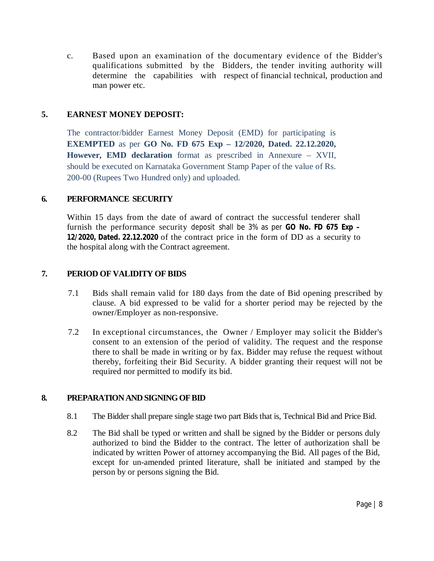c. Based upon an examination of the documentary evidence of the Bidder's qualifications submitted by the Bidders, the tender inviting authority will determine the capabilities with respect of financial technical, production and man power etc.

#### **5. EARNEST MONEY DEPOSIT:**

The contractor/bidder Earnest Money Deposit (EMD) for participating is **EXEMPTED** as per **GO No. FD 675 Exp – 12/2020, Dated. 22.12.2020, However, EMD declaration** format as prescribed in Annexure – XVII, should be executed on Karnataka Government Stamp Paper of the value of Rs. 200-00 (Rupees Two Hundred only) and uploaded.

#### **6. PERFORMANCE SECURITY**

Within 15 days from the date of award of contract the successful tenderer shall furnish the performance security deposit shall be 3% as per **GO No. FD 675 Exp – 12/2020, Dated. 22.12.2020** of the contract price in the form of DD as a security to the hospital along with the Contract agreement.

#### **7. PERIOD OF VALIDITY OF BIDS**

- 7.1 Bids shall remain valid for 180 days from the date of Bid opening prescribed by clause. A bid expressed to be valid for a shorter period may be rejected by the owner/Employer as non-responsive.
- 7.2 In exceptional circumstances, the Owner / Employer may solicit the Bidder's consent to an extension of the period of validity. The request and the response there to shall be made in writing or by fax. Bidder may refuse the request without thereby, forfeiting their Bid Security. A bidder granting their request will not be required nor permitted to modify its bid.

#### **8. PREPARATION AND SIGNING OF BID**

- 8.1 The Bidder shall prepare single stage two part Bids that is, Technical Bid and Price Bid.
- 8.2 The Bid shall be typed or written and shall be signed by the Bidder or persons duly authorized to bind the Bidder to the contract. The letter of authorization shall be indicated by written Power of attorney accompanying the Bid. All pages of the Bid, except for un-amended printed literature, shall be initiated and stamped by the person by or persons signing the Bid.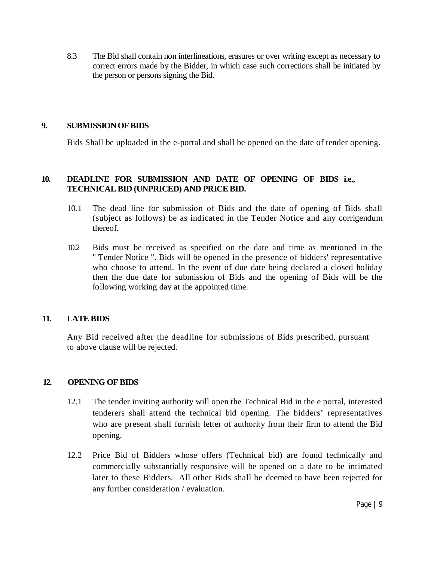8.3 The Bid shall contain non interlineations, erasures or over writing except as necessary to correct errors made by the Bidder, in which case such corrections shall be initiated by the person or persons signing the Bid.

#### **9. SUBMISSION OF BIDS**

Bids Shall be uploaded in the e-portal and shall be opened on the date of tender opening.

#### **10. DEADLINE FOR SUBMISSION AND DATE OF OPENING OF BIDS i.e., TECHNICAL BID (UNPRICED) AND PRICE BID.**

- 10.1 The dead line for submission of Bids and the date of opening of Bids shall (subject as follows) be as indicated in the Tender Notice and any corrigendum thereof.
- 10.2 Bids must be received as specified on the date and time as mentioned in the " Tender Notice ". Bids will be opened in the presence of bidders' representative who choose to attend. In the event of due date being declared a closed holiday then the due date for submission of Bids and the opening of Bids will be the following working day at the appointed time.

#### **11. LATE BIDS**

Any Bid received after the deadline for submissions of Bids prescribed, pursuant to above clause will be rejected.

#### **12. OPENING OF BIDS**

- 12.1 The tender inviting authority will open the Technical Bid in the e portal, interested tenderers shall attend the technical bid opening. The bidders' representatives who are present shall furnish letter of authority from their firm to attend the Bid opening.
- 12.2 Price Bid of Bidders whose offers (Technical bid) are found technically and commercially substantially responsive will be opened on a date to be intimated later to these Bidders. All other Bids shall be deemed to have been rejected for any further consideration / evaluation.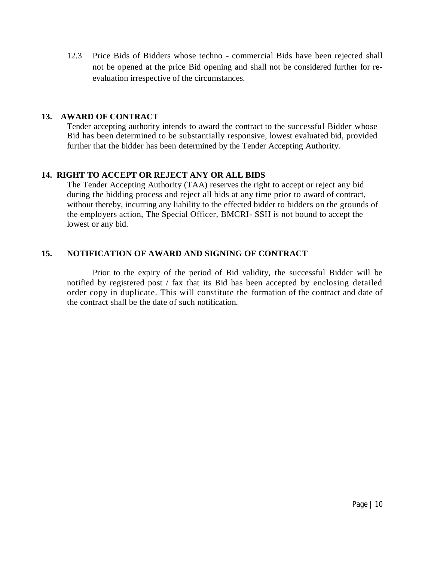12.3 Price Bids of Bidders whose techno - commercial Bids have been rejected shall not be opened at the price Bid opening and shall not be considered further for reevaluation irrespective of the circumstances.

#### **13. AWARD OF CONTRACT**

Tender accepting authority intends to award the contract to the successful Bidder whose Bid has been determined to be substantially responsive, lowest evaluated bid, provided further that the bidder has been determined by the Tender Accepting Authority.

#### **14. RIGHT TO ACCEPT OR REJECT ANY OR ALL BIDS**

The Tender Accepting Authority (TAA) reserves the right to accept or reject any bid during the bidding process and reject all bids at any time prior to award of contract, without thereby, incurring any liability to the effected bidder to bidders on the grounds of the employers action, The Special Officer, BMCRI- SSH is not bound to accept the lowest or any bid.

#### **15. NOTIFICATION OF AWARD AND SIGNING OF CONTRACT**

Prior to the expiry of the period of Bid validity, the successful Bidder will be notified by registered post / fax that its Bid has been accepted by enclosing detailed order copy in duplicate. This will constitute the formation of the contract and date of the contract shall be the date of such notification.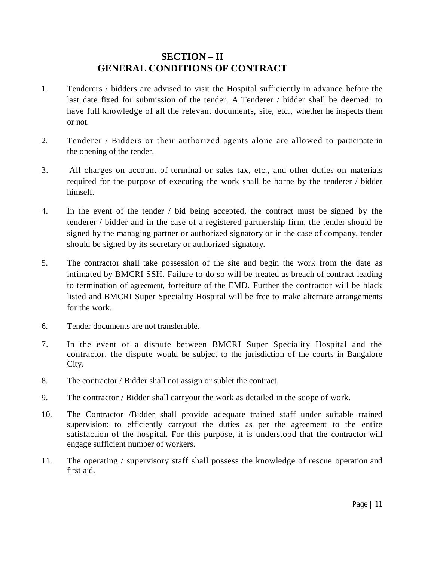## **SECTION – II GENERAL CONDITIONS OF CONTRACT**

- 1. Tenderers / bidders are advised to visit the Hospital sufficiently in advance before the last date fixed for submission of the tender. A Tenderer / bidder shall be deemed: to have full knowledge of all the relevant documents, site, etc., whether he inspects them or not.
- 2. Tenderer / Bidders or their authorized agents alone are allowed to participate in the opening of the tender.
- 3. All charges on account of terminal or sales tax, etc., and other duties on materials required for the purpose of executing the work shall be borne by the tenderer / bidder himself.
- 4. In the event of the tender / bid being accepted, the contract must be signed by the tenderer / bidder and in the case of a registered partnership firm, the tender should be signed by the managing partner or authorized signatory or in the case of company, tender should be signed by its secretary or authorized signatory.
- 5. The contractor shall take possession of the site and begin the work from the date as intimated by BMCRI SSH. Failure to do so will be treated as breach of contract leading to termination of agreement, forfeiture of the EMD. Further the contractor will be black listed and BMCRI Super Speciality Hospital will be free to make alternate arrangements for the work.
- 6. Tender documents are not transferable.
- 7. In the event of a dispute between BMCRI Super Speciality Hospital and the contractor, the dispute would be subject to the jurisdiction of the courts in Bangalore City.
- 8. The contractor / Bidder shall not assign or sublet the contract.
- 9. The contractor / Bidder shall carryout the work as detailed in the scope of work.
- 10. The Contractor /Bidder shall provide adequate trained staff under suitable trained supervision: to efficiently carryout the duties as per the agreement to the entire satisfaction of the hospital. For this purpose, it is understood that the contractor will engage sufficient number of workers.
- 11. The operating / supervisory staff shall possess the knowledge of rescue operation and first aid.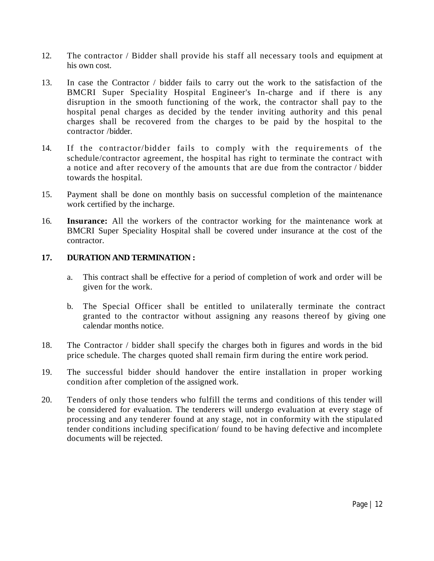- 12. The contractor / Bidder shall provide his staff all necessary tools and equipment at his own cost.
- 13. In case the Contractor / bidder fails to carry out the work to the satisfaction of the BMCRI Super Speciality Hospital Engineer's In-charge and if there is any disruption in the smooth functioning of the work, the contractor shall pay to the hospital penal charges as decided by the tender inviting authority and this penal charges shall be recovered from the charges to be paid by the hospital to the contractor /bidder.
- 14. If the contractor/bidder fails to comply with the requirements of the schedule/contractor agreement, the hospital has right to terminate the contract with a notice and after recovery of the amounts that are due from the contractor / bidder towards the hospital.
- 15. Payment shall be done on monthly basis on successful completion of the maintenance work certified by the incharge.
- 16. **Insurance:** All the workers of the contractor working for the maintenance work at BMCRI Super Speciality Hospital shall be covered under insurance at the cost of the contractor.

#### **17. DURATION AND TERMINATION :**

- a. This contract shall be effective for a period of completion of work and order will be given for the work.
- b. The Special Officer shall be entitled to unilaterally terminate the contract granted to the contractor without assigning any reasons thereof by giving one calendar months notice.
- 18. The Contractor / bidder shall specify the charges both in figures and words in the bid price schedule. The charges quoted shall remain firm during the entire work period.
- 19. The successful bidder should handover the entire installation in proper working condition after completion of the assigned work.
- 20. Tenders of only those tenders who fulfill the terms and conditions of this tender will be considered for evaluation. The tenderers will undergo evaluation at every stage of processing and any tenderer found at any stage, not in conformity with the stipulated tender conditions including specification/ found to be having defective and incomplete documents will be rejected.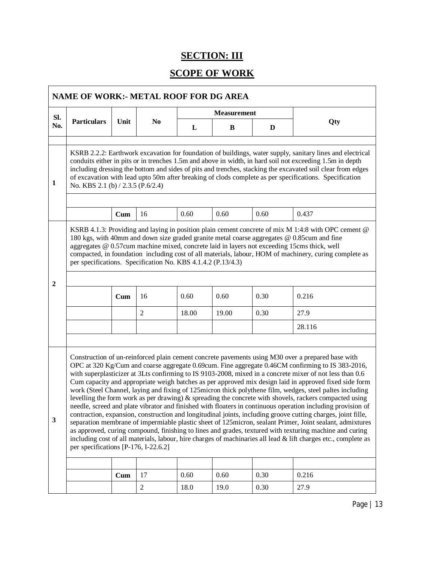## **SECTION: III**

## **SCOPE OF WORK**

| SI.                                                                                                                                                                                                                                                                                                                                                                                                                                                                                            |                                                                                                                                                                                                                                                                                                                                                                                                                                                                                                                                                                                                                                                                                                                                                                                                                                                                                                                                                                                                                                                                                                                                                                                                                                                                       |              |                |       | <b>Measurement</b> |      |        |  |  |  |  |
|------------------------------------------------------------------------------------------------------------------------------------------------------------------------------------------------------------------------------------------------------------------------------------------------------------------------------------------------------------------------------------------------------------------------------------------------------------------------------------------------|-----------------------------------------------------------------------------------------------------------------------------------------------------------------------------------------------------------------------------------------------------------------------------------------------------------------------------------------------------------------------------------------------------------------------------------------------------------------------------------------------------------------------------------------------------------------------------------------------------------------------------------------------------------------------------------------------------------------------------------------------------------------------------------------------------------------------------------------------------------------------------------------------------------------------------------------------------------------------------------------------------------------------------------------------------------------------------------------------------------------------------------------------------------------------------------------------------------------------------------------------------------------------|--------------|----------------|-------|--------------------|------|--------|--|--|--|--|
| No.                                                                                                                                                                                                                                                                                                                                                                                                                                                                                            | <b>Particulars</b>                                                                                                                                                                                                                                                                                                                                                                                                                                                                                                                                                                                                                                                                                                                                                                                                                                                                                                                                                                                                                                                                                                                                                                                                                                                    | Unit         | N <sub>0</sub> | L     | B                  | D    | Qty    |  |  |  |  |
| $\mathbf{1}$                                                                                                                                                                                                                                                                                                                                                                                                                                                                                   | KSRB 2.2.2: Earthwork excavation for foundation of buildings, water supply, sanitary lines and electrical<br>conduits either in pits or in trenches 1.5m and above in width, in hard soil not exceeding 1.5m in depth<br>including dressing the bottom and sides of pits and trenches, stacking the excavated soil clear from edges<br>of excavation with lead upto 50m after breaking of clods complete as per specifications. Specification<br>No. KBS 2.1 (b) / 2.3.5 (P.6/2.4)                                                                                                                                                                                                                                                                                                                                                                                                                                                                                                                                                                                                                                                                                                                                                                                    |              |                |       |                    |      |        |  |  |  |  |
|                                                                                                                                                                                                                                                                                                                                                                                                                                                                                                |                                                                                                                                                                                                                                                                                                                                                                                                                                                                                                                                                                                                                                                                                                                                                                                                                                                                                                                                                                                                                                                                                                                                                                                                                                                                       | Cum          | 16             | 0.60  | 0.60               | 0.60 | 0.437  |  |  |  |  |
| KSRB 4.1.3: Providing and laying in position plain cement concrete of mix M 1:4:8 with OPC cement @<br>180 kgs, with 40mm and down size graded granite metal coarse aggregates @ 0.85cum and fine<br>aggregates @ 0.57cum machine mixed, concrete laid in layers not exceeding 15cms thick, well<br>compacted, in foundation including cost of all materials, labour, HOM of machinery, curing complete as<br>per specifications. Specification No. KBS 4.1.4.2 (P.13/4.3)<br>$\boldsymbol{2}$ |                                                                                                                                                                                                                                                                                                                                                                                                                                                                                                                                                                                                                                                                                                                                                                                                                                                                                                                                                                                                                                                                                                                                                                                                                                                                       |              |                |       |                    |      |        |  |  |  |  |
|                                                                                                                                                                                                                                                                                                                                                                                                                                                                                                |                                                                                                                                                                                                                                                                                                                                                                                                                                                                                                                                                                                                                                                                                                                                                                                                                                                                                                                                                                                                                                                                                                                                                                                                                                                                       | Cum          | 16             | 0.60  | 0.60               | 0.30 | 0.216  |  |  |  |  |
|                                                                                                                                                                                                                                                                                                                                                                                                                                                                                                |                                                                                                                                                                                                                                                                                                                                                                                                                                                                                                                                                                                                                                                                                                                                                                                                                                                                                                                                                                                                                                                                                                                                                                                                                                                                       |              | 2              | 18.00 | 19.00              | 0.30 | 27.9   |  |  |  |  |
|                                                                                                                                                                                                                                                                                                                                                                                                                                                                                                |                                                                                                                                                                                                                                                                                                                                                                                                                                                                                                                                                                                                                                                                                                                                                                                                                                                                                                                                                                                                                                                                                                                                                                                                                                                                       |              |                |       |                    |      | 28.116 |  |  |  |  |
| $\mathbf{3}$                                                                                                                                                                                                                                                                                                                                                                                                                                                                                   | Construction of un-reinforced plain cement concrete pavements using M30 over a prepared base with<br>OPC at 320 Kg/Cum and coarse aggregate 0.69cum. Fine aggregate 0.46CM confirming to IS 383-2016,<br>with superplasticizer at 3Lts confirming to IS 9103-2008, mixed in a concrete mixer of not less than 0.6<br>Cum capacity and appropriate weigh batches as per approved mix design laid in approved fixed side form<br>work (Steel Channel, laying and fixing of 125 micron thick polythene film, wedges, steel paltes including<br>levelling the form work as per drawing) $\&$ spreading the concrete with shovels, rackers compacted using<br>needle, screed and plate vibrator and finished with floaters in continuous operation including provision of<br>contraction, expansion, construction and longitudinal joints, including groove cutting charges, joint fille,<br>separation membrane of impermiable plastic sheet of 125micron, sealant Primer, Joint sealant, admixtures<br>as approved, curing compound, finishing to lines and grades, textured with texturing machine and curing<br>including cost of all materials, labour, hire charges of machinaries all lead & lift charges etc., complete as<br>per specifications [P-176, I-22.6.2] |              |                |       |                    |      |        |  |  |  |  |
|                                                                                                                                                                                                                                                                                                                                                                                                                                                                                                |                                                                                                                                                                                                                                                                                                                                                                                                                                                                                                                                                                                                                                                                                                                                                                                                                                                                                                                                                                                                                                                                                                                                                                                                                                                                       |              |                |       |                    |      |        |  |  |  |  |
|                                                                                                                                                                                                                                                                                                                                                                                                                                                                                                |                                                                                                                                                                                                                                                                                                                                                                                                                                                                                                                                                                                                                                                                                                                                                                                                                                                                                                                                                                                                                                                                                                                                                                                                                                                                       | $_{\rm Cum}$ | 17             | 0.60  | 0.60               | 0.30 | 0.216  |  |  |  |  |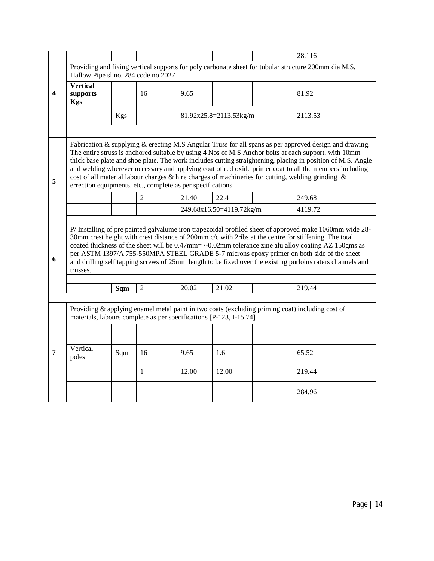|                         |                                                                                                                                                                                                                                                                                                                                                                                                                                                                                                                                                                                                             |            |                |       |                          |  | 28.116                                                                                          |  |  |  |  |
|-------------------------|-------------------------------------------------------------------------------------------------------------------------------------------------------------------------------------------------------------------------------------------------------------------------------------------------------------------------------------------------------------------------------------------------------------------------------------------------------------------------------------------------------------------------------------------------------------------------------------------------------------|------------|----------------|-------|--------------------------|--|-------------------------------------------------------------------------------------------------|--|--|--|--|
|                         | Providing and fixing vertical supports for poly carbonate sheet for tubular structure 200mm dia M.S.<br>Hallow Pipe sl no. 284 code no 2027                                                                                                                                                                                                                                                                                                                                                                                                                                                                 |            |                |       |                          |  |                                                                                                 |  |  |  |  |
| $\overline{\mathbf{4}}$ | <b>Vertical</b><br>supports<br><b>Kgs</b>                                                                                                                                                                                                                                                                                                                                                                                                                                                                                                                                                                   |            | 16             | 9.65  |                          |  | 81.92                                                                                           |  |  |  |  |
|                         |                                                                                                                                                                                                                                                                                                                                                                                                                                                                                                                                                                                                             | <b>Kgs</b> |                |       | 81.92x25.8=2113.53kg/m   |  | 2113.53                                                                                         |  |  |  |  |
|                         |                                                                                                                                                                                                                                                                                                                                                                                                                                                                                                                                                                                                             |            |                |       |                          |  |                                                                                                 |  |  |  |  |
| 5                       | Fabrication & supplying & erecting M.S Angular Truss for all spans as per approved design and drawing.<br>The entire struss is anchored suitable by using 4 Nos of M.S Anchor bolts at each support, with 10mm<br>thick base plate and shoe plate. The work includes cutting straightening, placing in position of M.S. Angle<br>and welding wherever necessary and applying coat of red oxide primer coat to all the members including<br>cost of all material labour charges & hire charges of machineries for cutting, welding grinding &<br>errection equipments, etc., complete as per specifications. |            |                |       |                          |  |                                                                                                 |  |  |  |  |
|                         |                                                                                                                                                                                                                                                                                                                                                                                                                                                                                                                                                                                                             |            | $\overline{2}$ | 21.40 | 22.4                     |  | 249.68                                                                                          |  |  |  |  |
|                         |                                                                                                                                                                                                                                                                                                                                                                                                                                                                                                                                                                                                             |            |                |       | 249.68x16.50=4119.72kg/m |  | 4119.72                                                                                         |  |  |  |  |
| 6                       | P/ Installing of pre painted galvalume iron trapezoidal profiled sheet of approved make 1060mm wide 28-<br>30mm crest height with crest distance of 200mm c/c with 2ribs at the centre for stiffening. The total<br>coated thickness of the sheet will be 0.47mm= /-0.02mm tolerance zine alu alloy coating AZ 150gms as<br>per ASTM 1397/A 755-550MPA STEEL GRADE 5-7 microns epoxy primer on both side of the sheet<br>and drilling self tapping screws of 25mm length to be fixed over the existing purloins raters channels and<br>trusses.                                                             |            |                |       |                          |  |                                                                                                 |  |  |  |  |
|                         |                                                                                                                                                                                                                                                                                                                                                                                                                                                                                                                                                                                                             | Sqm        | 2              | 20.02 | 21.02                    |  | 219.44                                                                                          |  |  |  |  |
|                         |                                                                                                                                                                                                                                                                                                                                                                                                                                                                                                                                                                                                             |            |                |       |                          |  |                                                                                                 |  |  |  |  |
|                         | materials, labours complete as per specifications [P-123, I-15.74]                                                                                                                                                                                                                                                                                                                                                                                                                                                                                                                                          |            |                |       |                          |  | Providing & applying enamel metal paint in two coats (excluding priming coat) including cost of |  |  |  |  |
|                         |                                                                                                                                                                                                                                                                                                                                                                                                                                                                                                                                                                                                             |            |                |       |                          |  |                                                                                                 |  |  |  |  |
| 7                       | Vertical<br>poles                                                                                                                                                                                                                                                                                                                                                                                                                                                                                                                                                                                           | Sqm        | 16             | 9.65  | 1.6                      |  | 65.52                                                                                           |  |  |  |  |
|                         |                                                                                                                                                                                                                                                                                                                                                                                                                                                                                                                                                                                                             |            | 1              | 12.00 | 12.00                    |  | 219.44                                                                                          |  |  |  |  |
|                         |                                                                                                                                                                                                                                                                                                                                                                                                                                                                                                                                                                                                             |            |                |       |                          |  | 284.96                                                                                          |  |  |  |  |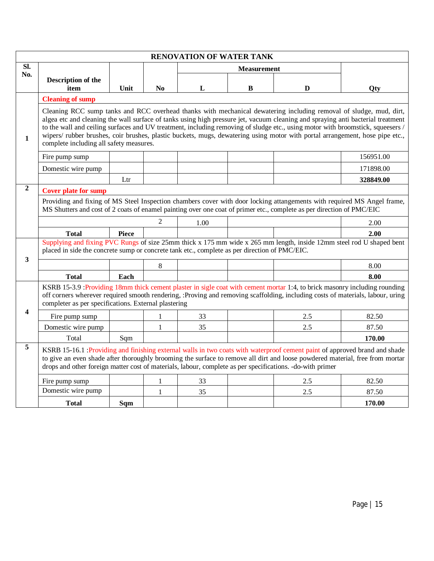|                         | <b>RENOVATION OF WATER TANK</b>                                                                                                                                                                                                                                                                                                                                                                                                                                                                                                                                    |              |                |      |                    |                                                                                                                            |           |  |  |
|-------------------------|--------------------------------------------------------------------------------------------------------------------------------------------------------------------------------------------------------------------------------------------------------------------------------------------------------------------------------------------------------------------------------------------------------------------------------------------------------------------------------------------------------------------------------------------------------------------|--------------|----------------|------|--------------------|----------------------------------------------------------------------------------------------------------------------------|-----------|--|--|
| SI.                     |                                                                                                                                                                                                                                                                                                                                                                                                                                                                                                                                                                    |              |                |      | <b>Measurement</b> |                                                                                                                            |           |  |  |
| No.                     | Description of the                                                                                                                                                                                                                                                                                                                                                                                                                                                                                                                                                 |              |                |      |                    |                                                                                                                            |           |  |  |
|                         | item                                                                                                                                                                                                                                                                                                                                                                                                                                                                                                                                                               | Unit         | N <sub>0</sub> | L    | $\bf{B}$           | D                                                                                                                          | Qty       |  |  |
|                         | <b>Cleaning of sump</b>                                                                                                                                                                                                                                                                                                                                                                                                                                                                                                                                            |              |                |      |                    |                                                                                                                            |           |  |  |
| 1                       | Cleaning RCC sump tanks and RCC overhead thanks with mechanical dewatering including removal of sludge, mud, dirt,<br>algea etc and cleaning the wall surface of tanks using high pressure jet, vacuum cleaning and spraying anti bacterial treatment<br>to the wall and ceiling surfaces and UV treatment, including removing of sludge etc., using motor with broomstick, squeesers /<br>wipers/ rubber brushes, coir brushes, plastic buckets, mugs, dewatering using motor with portal arrangement, hose pipe etc.,<br>complete including all safety measures. |              |                |      |                    |                                                                                                                            |           |  |  |
|                         | Fire pump sump                                                                                                                                                                                                                                                                                                                                                                                                                                                                                                                                                     |              |                |      |                    |                                                                                                                            | 156951.00 |  |  |
|                         | Domestic wire pump                                                                                                                                                                                                                                                                                                                                                                                                                                                                                                                                                 |              |                |      |                    |                                                                                                                            | 171898.00 |  |  |
|                         |                                                                                                                                                                                                                                                                                                                                                                                                                                                                                                                                                                    | Ltr          |                |      |                    |                                                                                                                            | 328849.00 |  |  |
| $\overline{2}$          | <b>Cover plate for sump</b>                                                                                                                                                                                                                                                                                                                                                                                                                                                                                                                                        |              |                |      |                    |                                                                                                                            |           |  |  |
|                         | Providing and fixing of MS Steel Inspection chambers cover with door locking attangements with required MS Angel frame,<br>MS Shutters and cost of 2 coats of enamel painting over one coat of primer etc., complete as per direction of PMC/EIC                                                                                                                                                                                                                                                                                                                   |              |                |      |                    |                                                                                                                            |           |  |  |
|                         |                                                                                                                                                                                                                                                                                                                                                                                                                                                                                                                                                                    |              | $\mathfrak{D}$ | 1.00 |                    |                                                                                                                            | 2.00      |  |  |
|                         | <b>Total</b>                                                                                                                                                                                                                                                                                                                                                                                                                                                                                                                                                       | <b>Piece</b> |                |      |                    |                                                                                                                            | 2.00      |  |  |
|                         | Supplying and fixing PVC Rungs of size 25mm thick x 175 mm wide x 265 mm length, inside 12mm steel rod U shaped bent<br>placed in side the concrete sump or concrete tank etc., complete as per direction of PMC/EIC.                                                                                                                                                                                                                                                                                                                                              |              |                |      |                    |                                                                                                                            |           |  |  |
| 3                       |                                                                                                                                                                                                                                                                                                                                                                                                                                                                                                                                                                    |              | 8              |      |                    |                                                                                                                            | 8.00      |  |  |
|                         | <b>Total</b>                                                                                                                                                                                                                                                                                                                                                                                                                                                                                                                                                       | Each         |                |      |                    |                                                                                                                            | 8.00      |  |  |
|                         | off corners wherever required smooth rendering, :Proving and removing scaffolding, including costs of materials, labour, uring<br>completer as per specifications. External plastering                                                                                                                                                                                                                                                                                                                                                                             |              |                |      |                    | KSRB 15-3.9 :Providing 18mm thick cement plaster in sigle coat with cement mortar 1:4, to brick masonry including rounding |           |  |  |
| $\overline{\mathbf{4}}$ | Fire pump sump                                                                                                                                                                                                                                                                                                                                                                                                                                                                                                                                                     |              | 1              | 33   |                    | 2.5                                                                                                                        | 82.50     |  |  |
|                         | Domestic wire pump                                                                                                                                                                                                                                                                                                                                                                                                                                                                                                                                                 |              | 1              | 35   |                    | 2.5                                                                                                                        | 87.50     |  |  |
|                         | Total                                                                                                                                                                                                                                                                                                                                                                                                                                                                                                                                                              | Sqm          |                |      |                    |                                                                                                                            | 170.00    |  |  |
| 5                       | to give an even shade after thoroughly brooming the surface to remove all dirt and loose powdered material, free from mortar<br>drops and other foreign matter cost of materials, labour, complete as per specifications. -do-with primer                                                                                                                                                                                                                                                                                                                          |              |                |      |                    | KSRB 15-16.1 :Providing and finishing external walls in two coats with waterproof cement paint of approved brand and shade |           |  |  |
|                         | Fire pump sump                                                                                                                                                                                                                                                                                                                                                                                                                                                                                                                                                     |              | 1              | 33   |                    | 2.5                                                                                                                        | 82.50     |  |  |
|                         | Domestic wire pump                                                                                                                                                                                                                                                                                                                                                                                                                                                                                                                                                 |              | 1              | 35   |                    | 2.5                                                                                                                        | 87.50     |  |  |
|                         | <b>Total</b>                                                                                                                                                                                                                                                                                                                                                                                                                                                                                                                                                       | Sqm          |                |      |                    |                                                                                                                            | 170.00    |  |  |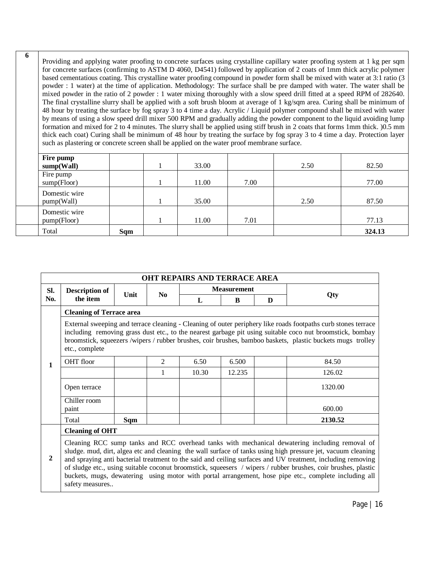Providing and applying water proofing to concrete surfaces using crystalline capillary water proofing system at 1 kg per sqm for concrete surfaces (confirming to ASTM D 4060, D4541) followed by application of 2 coats of 1mm thick acrylic polymer based cementatious coating. This crystalline water proofing compound in powder form shall be mixed with water at 3:1 ratio (3 powder : 1 water) at the time of application. Methodology: The surface shall be pre damped with water. The water shall be mixed powder in the ratio of 2 powder : 1 water mixing thoroughly with a slow speed drill fitted at a speed RPM of 282640. The final crystalline slurry shall be applied with a soft brush bloom at average of 1 kg/sqm area. Curing shall be minimum of 48 hour by treating the surface by fog spray 3 to 4 time a day. Acrylic / Liquid polymer compound shall be mixed with water by means of using a slow speed drill mixer 500 RPM and gradually adding the powder component to the liquid avoiding lump formation and mixed for 2 to 4 minutes. The slurry shall be applied using stiff brush in 2 coats that forms 1mm thick. )0.5 mm thick each coat) Curing shall be minimum of 48 hour by treating the surface by fog spray 3 to 4 time a day. Protection layer such as plastering or concrete screen shall be applied on the water proof membrane surface.

**6**

| Fire pump     |     |       |      |      |        |
|---------------|-----|-------|------|------|--------|
| sump(Wall)    |     | 33.00 |      | 2.50 | 82.50  |
| Fire pump     |     |       |      |      |        |
| sump(Floor)   |     | 11.00 | 7.00 |      | 77.00  |
| Domestic wire |     |       |      |      |        |
| pump(Wall)    |     | 35.00 |      | 2.50 | 87.50  |
| Domestic wire |     |       |      |      |        |
| pump(Floor)   |     | 11.00 | 7.01 |      | 77.13  |
| Total         | Sqm |       |      |      | 324.13 |

| <b>OHT REPAIRS AND TERRACE AREA</b>                                                                                                                                                                                                                                                                                                                                                                                                                                                                                                                                                        |                                                                                                                                                                                                                                                                                                                                                            |                                 |                |       |                    |   |         |  |  |  |  |  |
|--------------------------------------------------------------------------------------------------------------------------------------------------------------------------------------------------------------------------------------------------------------------------------------------------------------------------------------------------------------------------------------------------------------------------------------------------------------------------------------------------------------------------------------------------------------------------------------------|------------------------------------------------------------------------------------------------------------------------------------------------------------------------------------------------------------------------------------------------------------------------------------------------------------------------------------------------------------|---------------------------------|----------------|-------|--------------------|---|---------|--|--|--|--|--|
| SI.                                                                                                                                                                                                                                                                                                                                                                                                                                                                                                                                                                                        | <b>Description of</b><br>Unit<br>$\mathbf{N}\mathbf{0}$                                                                                                                                                                                                                                                                                                    |                                 |                |       | <b>Measurement</b> |   |         |  |  |  |  |  |
| No.                                                                                                                                                                                                                                                                                                                                                                                                                                                                                                                                                                                        | the item                                                                                                                                                                                                                                                                                                                                                   |                                 |                | L     | B                  | D | Qty     |  |  |  |  |  |
|                                                                                                                                                                                                                                                                                                                                                                                                                                                                                                                                                                                            |                                                                                                                                                                                                                                                                                                                                                            | <b>Cleaning of Terrace area</b> |                |       |                    |   |         |  |  |  |  |  |
|                                                                                                                                                                                                                                                                                                                                                                                                                                                                                                                                                                                            | External sweeping and terrace cleaning - Cleaning of outer periphery like roads footpaths curb stones terrace<br>including removing grass dust etc., to the nearest garbage pit using suitable coco nut broomstick, bombay<br>broomstick, squeezers /wipers / rubber brushes, coir brushes, bamboo baskets, plastic buckets mugs trolley<br>etc., complete |                                 |                |       |                    |   |         |  |  |  |  |  |
| 1                                                                                                                                                                                                                                                                                                                                                                                                                                                                                                                                                                                          | OHT floor                                                                                                                                                                                                                                                                                                                                                  |                                 | $\overline{2}$ | 6.50  | 6.500              |   | 84.50   |  |  |  |  |  |
|                                                                                                                                                                                                                                                                                                                                                                                                                                                                                                                                                                                            |                                                                                                                                                                                                                                                                                                                                                            |                                 | 1              | 10.30 | 12.235             |   | 126.02  |  |  |  |  |  |
|                                                                                                                                                                                                                                                                                                                                                                                                                                                                                                                                                                                            | Open terrace                                                                                                                                                                                                                                                                                                                                               |                                 |                |       |                    |   | 1320.00 |  |  |  |  |  |
|                                                                                                                                                                                                                                                                                                                                                                                                                                                                                                                                                                                            | Chiller room<br>paint                                                                                                                                                                                                                                                                                                                                      |                                 |                |       |                    |   | 600.00  |  |  |  |  |  |
|                                                                                                                                                                                                                                                                                                                                                                                                                                                                                                                                                                                            | Total                                                                                                                                                                                                                                                                                                                                                      | Sqm                             |                |       |                    |   | 2130.52 |  |  |  |  |  |
|                                                                                                                                                                                                                                                                                                                                                                                                                                                                                                                                                                                            |                                                                                                                                                                                                                                                                                                                                                            | <b>Cleaning of OHT</b>          |                |       |                    |   |         |  |  |  |  |  |
| Cleaning RCC sump tanks and RCC overhead tanks with mechanical dewatering including removal of<br>sludge. mud, dirt, algea etc and cleaning the wall surface of tanks using high pressure jet, vacuum cleaning<br>$\mathbf{2}$<br>and spraying anti bacterial treatment to the said and ceiling surfaces and UV treatment, including removing<br>of sludge etc., using suitable coconut broomstick, squeesers / wipers / rubber brushes, coir brushes, plastic<br>buckets, mugs, dewatering using motor with portal arrangement, hose pipe etc., complete including all<br>safety measures |                                                                                                                                                                                                                                                                                                                                                            |                                 |                |       |                    |   |         |  |  |  |  |  |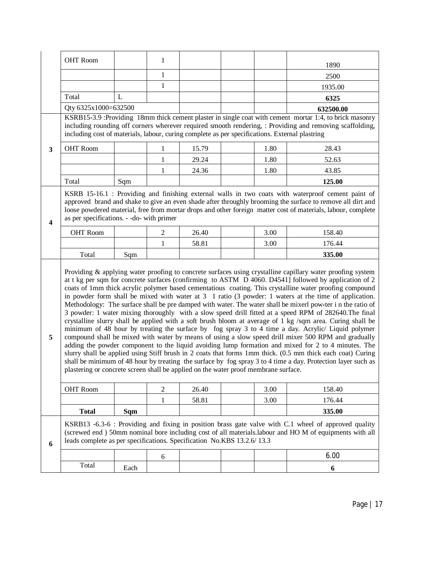|                         | <b>OHT Room</b>                                                                                                                                                                                                                                                                                                                                                                                                                                                                                                                                                                                                                                                                                                                                                                                                                                                                                                                                                                                                                                                                                                                                                                                                                                                                                                                                                                                                               |      | 1              |       |  |      | 1890                                                                                                                                                                                                                                                                                                                             |  |  |  |
|-------------------------|-------------------------------------------------------------------------------------------------------------------------------------------------------------------------------------------------------------------------------------------------------------------------------------------------------------------------------------------------------------------------------------------------------------------------------------------------------------------------------------------------------------------------------------------------------------------------------------------------------------------------------------------------------------------------------------------------------------------------------------------------------------------------------------------------------------------------------------------------------------------------------------------------------------------------------------------------------------------------------------------------------------------------------------------------------------------------------------------------------------------------------------------------------------------------------------------------------------------------------------------------------------------------------------------------------------------------------------------------------------------------------------------------------------------------------|------|----------------|-------|--|------|----------------------------------------------------------------------------------------------------------------------------------------------------------------------------------------------------------------------------------------------------------------------------------------------------------------------------------|--|--|--|
|                         |                                                                                                                                                                                                                                                                                                                                                                                                                                                                                                                                                                                                                                                                                                                                                                                                                                                                                                                                                                                                                                                                                                                                                                                                                                                                                                                                                                                                                               |      | 1              |       |  |      | 2500                                                                                                                                                                                                                                                                                                                             |  |  |  |
|                         |                                                                                                                                                                                                                                                                                                                                                                                                                                                                                                                                                                                                                                                                                                                                                                                                                                                                                                                                                                                                                                                                                                                                                                                                                                                                                                                                                                                                                               |      | $\mathbf{1}$   |       |  |      | 1935.00                                                                                                                                                                                                                                                                                                                          |  |  |  |
|                         | Total                                                                                                                                                                                                                                                                                                                                                                                                                                                                                                                                                                                                                                                                                                                                                                                                                                                                                                                                                                                                                                                                                                                                                                                                                                                                                                                                                                                                                         | L    |                |       |  |      | 6325                                                                                                                                                                                                                                                                                                                             |  |  |  |
|                         | Qty 6325x1000=632500                                                                                                                                                                                                                                                                                                                                                                                                                                                                                                                                                                                                                                                                                                                                                                                                                                                                                                                                                                                                                                                                                                                                                                                                                                                                                                                                                                                                          |      |                |       |  |      | 632500.00                                                                                                                                                                                                                                                                                                                        |  |  |  |
|                         | KSRB15-3.9 :Providing 18mm thick cement plaster in single coat with cement mortar 1:4, to brick masonry<br>including rounding off corners wherever required smooth rendering, : Providing and removing scaffolding,<br>including cost of materials, labour, curing complete as per specifications. External plastring                                                                                                                                                                                                                                                                                                                                                                                                                                                                                                                                                                                                                                                                                                                                                                                                                                                                                                                                                                                                                                                                                                         |      |                |       |  |      |                                                                                                                                                                                                                                                                                                                                  |  |  |  |
| $\mathbf{3}$            | <b>OHT Room</b>                                                                                                                                                                                                                                                                                                                                                                                                                                                                                                                                                                                                                                                                                                                                                                                                                                                                                                                                                                                                                                                                                                                                                                                                                                                                                                                                                                                                               |      | 1              | 15.79 |  | 1.80 | 28.43                                                                                                                                                                                                                                                                                                                            |  |  |  |
|                         |                                                                                                                                                                                                                                                                                                                                                                                                                                                                                                                                                                                                                                                                                                                                                                                                                                                                                                                                                                                                                                                                                                                                                                                                                                                                                                                                                                                                                               |      | $\mathbf{1}$   | 29.24 |  | 1.80 | 52.63                                                                                                                                                                                                                                                                                                                            |  |  |  |
|                         |                                                                                                                                                                                                                                                                                                                                                                                                                                                                                                                                                                                                                                                                                                                                                                                                                                                                                                                                                                                                                                                                                                                                                                                                                                                                                                                                                                                                                               |      | 1              | 24.36 |  | 1.80 | 43.85                                                                                                                                                                                                                                                                                                                            |  |  |  |
|                         | Total                                                                                                                                                                                                                                                                                                                                                                                                                                                                                                                                                                                                                                                                                                                                                                                                                                                                                                                                                                                                                                                                                                                                                                                                                                                                                                                                                                                                                         | Sqm  |                |       |  |      | 125.00                                                                                                                                                                                                                                                                                                                           |  |  |  |
| $\overline{\mathbf{4}}$ | as per specifications. - -do- with primer                                                                                                                                                                                                                                                                                                                                                                                                                                                                                                                                                                                                                                                                                                                                                                                                                                                                                                                                                                                                                                                                                                                                                                                                                                                                                                                                                                                     |      |                |       |  |      | KSRB 15-16.1 : Providing and finishing external walls in two coats with waterproof cement paint of<br>approved brand and shake to give an even shade after throughly brooming the surface to remove all dirt and<br>loose powdered material, free from mortar drops and other foreign matter cost of materials, labour, complete |  |  |  |
|                         | <b>OHT</b> Room                                                                                                                                                                                                                                                                                                                                                                                                                                                                                                                                                                                                                                                                                                                                                                                                                                                                                                                                                                                                                                                                                                                                                                                                                                                                                                                                                                                                               |      | $\overline{2}$ | 26.40 |  | 3.00 | 158.40                                                                                                                                                                                                                                                                                                                           |  |  |  |
|                         |                                                                                                                                                                                                                                                                                                                                                                                                                                                                                                                                                                                                                                                                                                                                                                                                                                                                                                                                                                                                                                                                                                                                                                                                                                                                                                                                                                                                                               |      | 1              | 58.81 |  | 3.00 | 176.44                                                                                                                                                                                                                                                                                                                           |  |  |  |
|                         | Total                                                                                                                                                                                                                                                                                                                                                                                                                                                                                                                                                                                                                                                                                                                                                                                                                                                                                                                                                                                                                                                                                                                                                                                                                                                                                                                                                                                                                         | Sqm  |                |       |  |      | 335.00                                                                                                                                                                                                                                                                                                                           |  |  |  |
| 5                       | Providing & applying water proofing to concrete surfaces using crystalline capillary water proofing system<br>at t kg per sqm for concrete surfaces (confirming to ASTM D 4060. D4541] followed by application of 2<br>coats of 1mm thick acrylic polymer based cementatious coating. This crystalline water proofing compound<br>in powder form shall be mixed with water at $3 \quad 1$ ratio (3 powder: 1 waters at rhe time of application.<br>Methodology: The surface shall be pre damped with water. The water shall be mixerl powder i n the ratio of<br>3 powder: 1 water mixing thoroughly with a slow speed drill fitted at a speed RPM of 282640. The final<br>crystalline slurry shall be applied with a soft brush bloom at average of 1 kg /sqm area. Curing shall be<br>minimum of 48 hour by treating the surface by fog spray 3 to 4 time a day. Acrylic/ Liquid polymer<br>compound shall be mixed with water by means of using a slow speed drill mixer 500 RPM and gradually<br>adding the powder component to the liquid avoiding lump formation and mixed for 2 to 4 minutes. The<br>slurry shall be applied using Stiff brush in 2 coats that forms 1mm thick. (0.5 mm thick each coat) Curing<br>shall be minimum of 48 hour by treating the surface by fog spray 3 to 4 time a day. Protection layer such as<br>plastering or concrete screen shall be applied on the water proof membrane surface. |      |                |       |  |      |                                                                                                                                                                                                                                                                                                                                  |  |  |  |
|                         | <b>OHT Room</b>                                                                                                                                                                                                                                                                                                                                                                                                                                                                                                                                                                                                                                                                                                                                                                                                                                                                                                                                                                                                                                                                                                                                                                                                                                                                                                                                                                                                               |      | $\mathfrak 2$  | 26.40 |  | 3.00 | 158.40                                                                                                                                                                                                                                                                                                                           |  |  |  |
|                         |                                                                                                                                                                                                                                                                                                                                                                                                                                                                                                                                                                                                                                                                                                                                                                                                                                                                                                                                                                                                                                                                                                                                                                                                                                                                                                                                                                                                                               |      | 1              | 58.81 |  | 3.00 | 176.44                                                                                                                                                                                                                                                                                                                           |  |  |  |
|                         | <b>Total</b>                                                                                                                                                                                                                                                                                                                                                                                                                                                                                                                                                                                                                                                                                                                                                                                                                                                                                                                                                                                                                                                                                                                                                                                                                                                                                                                                                                                                                  | Sqm  |                |       |  |      | 335.00                                                                                                                                                                                                                                                                                                                           |  |  |  |
| 6                       | leads complete as per specifications. Specification No.KBS 13.2.6/13.3                                                                                                                                                                                                                                                                                                                                                                                                                                                                                                                                                                                                                                                                                                                                                                                                                                                                                                                                                                                                                                                                                                                                                                                                                                                                                                                                                        |      |                |       |  |      | KSRB13 -6.3-6 : Providing and fixing in position brass gate valve with C.1 wheel of approved quality<br>(screwed end) 50mm nominal bore including cost of all materials.labour and HO M of equipments with all                                                                                                                   |  |  |  |
|                         |                                                                                                                                                                                                                                                                                                                                                                                                                                                                                                                                                                                                                                                                                                                                                                                                                                                                                                                                                                                                                                                                                                                                                                                                                                                                                                                                                                                                                               |      | 6              |       |  |      | 6.00                                                                                                                                                                                                                                                                                                                             |  |  |  |
|                         | Total                                                                                                                                                                                                                                                                                                                                                                                                                                                                                                                                                                                                                                                                                                                                                                                                                                                                                                                                                                                                                                                                                                                                                                                                                                                                                                                                                                                                                         | Each |                |       |  |      | 6                                                                                                                                                                                                                                                                                                                                |  |  |  |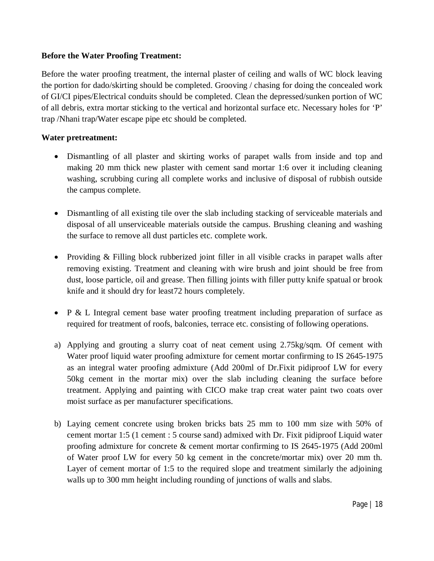#### **Before the Water Proofing Treatment:**

Before the water proofing treatment, the internal plaster of ceiling and walls of WC block leaving the portion for dado/skirting should be completed. Grooving / chasing for doing the concealed work of GI/CI pipes/Electrical conduits should be completed. Clean the depressed/sunken portion of WC of all debris, extra mortar sticking to the vertical and horizontal surface etc. Necessary holes for 'P' trap /Nhani trap/Water escape pipe etc should be completed.

#### **Water pretreatment:**

- Dismantling of all plaster and skirting works of parapet walls from inside and top and making 20 mm thick new plaster with cement sand mortar 1:6 over it including cleaning washing, scrubbing curing all complete works and inclusive of disposal of rubbish outside the campus complete.
- Dismantling of all existing tile over the slab including stacking of serviceable materials and disposal of all unserviceable materials outside the campus. Brushing cleaning and washing the surface to remove all dust particles etc. complete work.
- Providing & Filling block rubberized joint filler in all visible cracks in parapet walls after removing existing. Treatment and cleaning with wire brush and joint should be free from dust, loose particle, oil and grease. Then filling joints with filler putty knife spatual or brook knife and it should dry for least72 hours completely.
- P & L Integral cement base water proofing treatment including preparation of surface as required for treatment of roofs, balconies, terrace etc. consisting of following operations.
- a) Applying and grouting a slurry coat of neat cement using 2.75kg/sqm. Of cement with Water proof liquid water proofing admixture for cement mortar confirming to IS 2645-1975 as an integral water proofing admixture (Add 200ml of Dr.Fixit pidiproof LW for every 50kg cement in the mortar mix) over the slab including cleaning the surface before treatment. Applying and painting with CICO make trap creat water paint two coats over moist surface as per manufacturer specifications.
- b) Laying cement concrete using broken bricks bats 25 mm to 100 mm size with 50% of cement mortar 1:5 (1 cement : 5 course sand) admixed with Dr. Fixit pidiproof Liquid water proofing admixture for concrete & cement mortar confirming to IS 2645-1975 (Add 200ml of Water proof LW for every 50 kg cement in the concrete/mortar mix) over 20 mm th. Layer of cement mortar of 1:5 to the required slope and treatment similarly the adjoining walls up to 300 mm height including rounding of junctions of walls and slabs.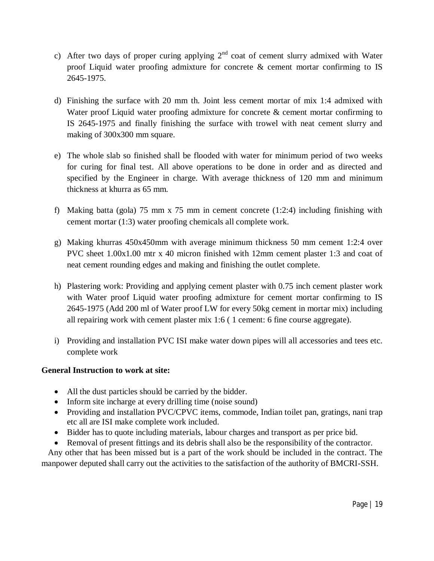- c) After two days of proper curing applying  $2<sup>nd</sup>$  coat of cement slurry admixed with Water proof Liquid water proofing admixture for concrete & cement mortar confirming to IS 2645-1975.
- d) Finishing the surface with 20 mm th. Joint less cement mortar of mix 1:4 admixed with Water proof Liquid water proofing admixture for concrete & cement mortar confirming to IS 2645-1975 and finally finishing the surface with trowel with neat cement slurry and making of 300x300 mm square.
- e) The whole slab so finished shall be flooded with water for minimum period of two weeks for curing for final test. All above operations to be done in order and as directed and specified by the Engineer in charge. With average thickness of 120 mm and minimum thickness at khurra as 65 mm.
- f) Making batta (gola) 75 mm x 75 mm in cement concrete (1:2:4) including finishing with cement mortar (1:3) water proofing chemicals all complete work.
- g) Making khurras 450x450mm with average minimum thickness 50 mm cement 1:2:4 over PVC sheet 1.00x1.00 mtr x 40 micron finished with 12mm cement plaster 1:3 and coat of neat cement rounding edges and making and finishing the outlet complete.
- h) Plastering work: Providing and applying cement plaster with 0.75 inch cement plaster work with Water proof Liquid water proofing admixture for cement mortar confirming to IS 2645-1975 (Add 200 ml of Water proof LW for every 50kg cement in mortar mix) including all repairing work with cement plaster mix 1:6 ( 1 cement: 6 fine course aggregate).
- i) Providing and installation PVC ISI make water down pipes will all accessories and tees etc. complete work

#### **General Instruction to work at site:**

- All the dust particles should be carried by the bidder.
- Inform site incharge at every drilling time (noise sound)
- Providing and installation PVC/CPVC items, commode, Indian toilet pan, gratings, nani trap etc all are ISI make complete work included.
- Bidder has to quote including materials, labour charges and transport as per price bid.
- Removal of present fittings and its debris shall also be the responsibility of the contractor.

Any other that has been missed but is a part of the work should be included in the contract. The manpower deputed shall carry out the activities to the satisfaction of the authority of BMCRI-SSH.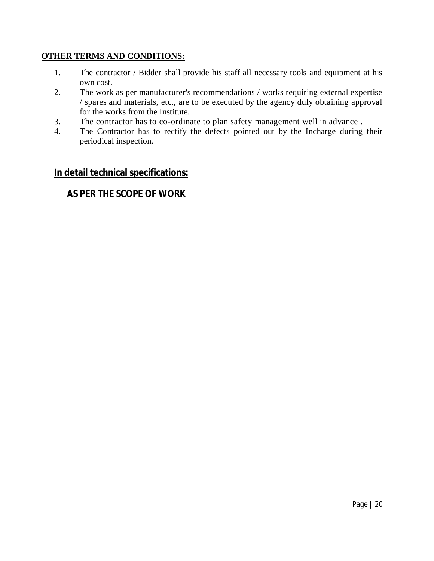#### **OTHER TERMS AND CONDITIONS:**

- 1. The contractor / Bidder shall provide his staff all necessary tools and equipment at his own cost.
- 2. The work as per manufacturer's recommendations / works requiring external expertise / spares and materials, etc., are to be executed by the agency duly obtaining approval for the works from the Institute.
- 3. The contractor has to co-ordinate to plan safety management well in advance .
- 4. The Contractor has to rectify the defects pointed out by the Incharge during their periodical inspection.

### **In detail technical specifications:**

## **AS PER THE SCOPE OF WORK**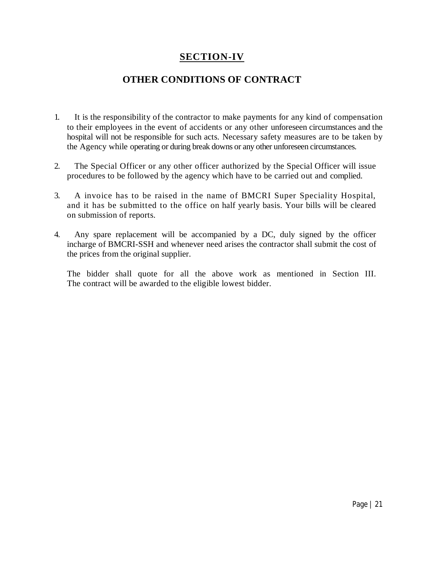## **SECTION-IV**

## **OTHER CONDITIONS OF CONTRACT**

- 1. It is the responsibility of the contractor to make payments for any kind of compensation to their employees in the event of accidents or any other unforeseen circumstances and the hospital will not be responsible for such acts. Necessary safety measures are to be taken by the Agency while operating or during break downs or any other unforeseen circumstances.
- 2. The Special Officer or any other officer authorized by the Special Officer will issue procedures to be followed by the agency which have to be carried out and complied.
- 3. A invoice has to be raised in the name of BMCRI Super Speciality Hospital, and it has be submitted to the office on half yearly basis. Your bills will be cleared on submission of reports.
- 4. Any spare replacement will be accompanied by a DC, duly signed by the officer incharge of BMCRI-SSH and whenever need arises the contractor shall submit the cost of the prices from the original supplier.

The bidder shall quote for all the above work as mentioned in Section III. The contract will be awarded to the eligible lowest bidder.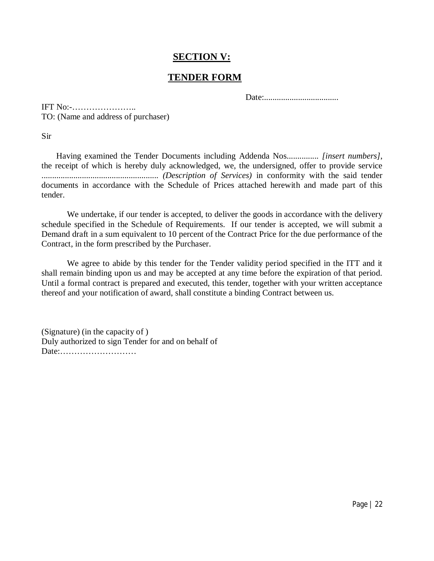## **SECTION V:**

## **TENDER FORM**

Date:...................................

IFT No:-………………….. TO: (Name and address of purchaser)

Sir

 Having examined the Tender Documents including Addenda Nos............... *[insert numbers]*, the receipt of which is hereby duly acknowledged, we, the undersigned, offer to provide service ....................................................... *(Description of Services)* in conformity with the said tender documents in accordance with the Schedule of Prices attached herewith and made part of this tender.

We undertake, if our tender is accepted, to deliver the goods in accordance with the delivery schedule specified in the Schedule of Requirements. If our tender is accepted, we will submit a Demand draft in a sum equivalent to 10 percent of the Contract Price for the due performance of the Contract, in the form prescribed by the Purchaser.

We agree to abide by this tender for the Tender validity period specified in the ITT and it shall remain binding upon us and may be accepted at any time before the expiration of that period. Until a formal contract is prepared and executed, this tender, together with your written acceptance thereof and your notification of award, shall constitute a binding Contract between us.

(Signature) (in the capacity of ) Duly authorized to sign Tender for and on behalf of Date:………………………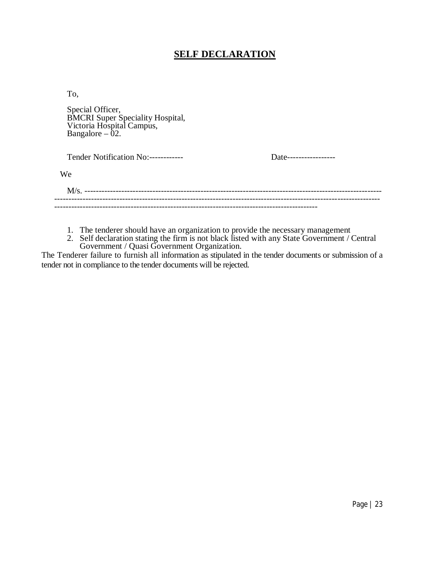## **SELF DECLARATION**

To,

Special Officer, BMCRI Super Speciality Hospital, Victoria Hospital Campus, Bangalore – 02.

| Tender Notification No:------------ | Date------------------ |
|-------------------------------------|------------------------|
| We                                  |                        |
|                                     |                        |
|                                     |                        |

- 1. The tenderer should have an organization to provide the necessary management
- 2. Self declaration stating the firm is not black listed with any State Government / Central Government / Quasi Government Organization.

The Tenderer failure to furnish all information as stipulated in the tender documents or submission of a tender not in compliance to the tender documents will be rejected.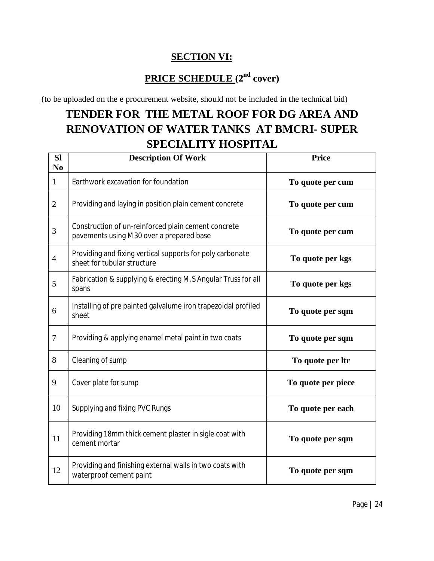## **SECTION VI:**

## **PRICE SCHEDULE (2nd cover)**

(to be uploaded on the e procurement website, should not be included in the technical bid)

# **TENDER FOR THE METAL ROOF FOR DG AREA AND RENOVATION OF WATER TANKS AT BMCRI- SUPER SPECIALITY HOSPITAL**

| <b>SI</b><br>N <sub>0</sub> | <b>Description Of Work</b>                                                                      | Price              |
|-----------------------------|-------------------------------------------------------------------------------------------------|--------------------|
| $\mathbf{1}$                | Earthwork excavation for foundation                                                             | To quote per cum   |
| $\overline{2}$              | Providing and laying in position plain cement concrete                                          | To quote per cum   |
| 3                           | Construction of un-reinforced plain cement concrete<br>pavements using M30 over a prepared base | To quote per cum   |
| $\overline{4}$              | Providing and fixing vertical supports for poly carbonate<br>sheet for tubular structure        | To quote per kgs   |
| 5                           | Fabrication & supplying & erecting M.S Angular Truss for all<br>spans                           | To quote per kgs   |
| 6                           | Installing of pre painted galvalume iron trapezoidal profiled<br>sheet                          | To quote per sqm   |
| $\tau$                      | Providing & applying enamel metal paint in two coats                                            | To quote per sqm   |
| 8                           | Cleaning of sump                                                                                | To quote per ltr   |
| 9                           | Cover plate for sump                                                                            | To quote per piece |
| 10                          | Supplying and fixing PVC Rungs                                                                  | To quote per each  |
| 11                          | Providing 18mm thick cement plaster in sigle coat with<br>cement mortar                         | To quote per sqm   |
| 12                          | Providing and finishing external walls in two coats with<br>waterproof cement paint             | To quote per sqm   |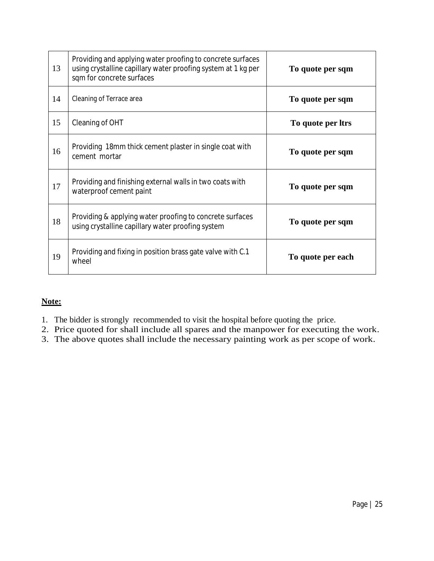| 13 | Providing and applying water proofing to concrete surfaces<br>using crystalline capillary water proofing system at 1 kg per<br>sqm for concrete surfaces | To quote per sqm  |
|----|----------------------------------------------------------------------------------------------------------------------------------------------------------|-------------------|
| 14 | Cleaning of Terrace area                                                                                                                                 | To quote per sqm  |
| 15 | Cleaning of OHT                                                                                                                                          | To quote per ltrs |
| 16 | Providing 18mm thick cement plaster in single coat with<br>cement mortar                                                                                 | To quote per sqm  |
| 17 | Providing and finishing external walls in two coats with<br>waterproof cement paint                                                                      | To quote per sqm  |
| 18 | Providing & applying water proofing to concrete surfaces<br>using crystalline capillary water proofing system                                            | To quote per sqm  |
| 19 | Providing and fixing in position brass gate valve with C.1<br>wheel                                                                                      | To quote per each |

#### **Note:**

- 1. The bidder is strongly recommended to visit the hospital before quoting the price.
- 2. Price quoted for shall include all spares and the manpower for executing the work.
- 3. The above quotes shall include the necessary painting work as per scope of work.